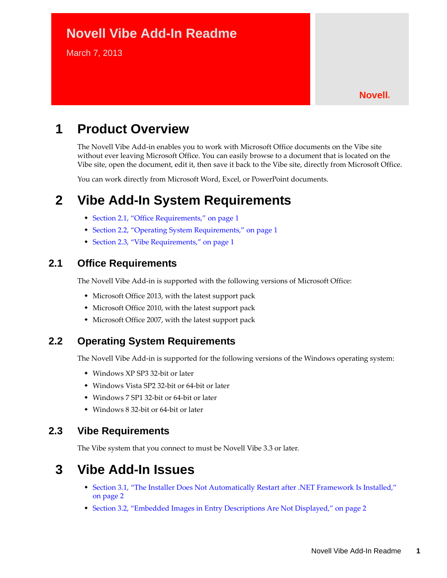# **Novell Vibe Add-In Readme**

March 7, 2013

#### **Novell®**

# **1 Product Overview**

The Novell Vibe Add-in enables you to work with Microsoft Office documents on the Vibe site without ever leaving Microsoft Office. You can easily browse to a document that is located on the Vibe site, open the document, edit it, then save it back to the Vibe site, directly from Microsoft Office.

You can work directly from Microsoft Word, Excel, or PowerPoint documents.

## **2 Vibe Add-In System Requirements**

- [Section 2.1, "Office Requirements," on page 1](#page-0-0)
- [Section 2.2, "Operating System Requirements," on page 1](#page-0-1)
- [Section 2.3, "Vibe Requirements," on page 1](#page-0-2)

### <span id="page-0-0"></span>**2.1 Office Requirements**

The Novell Vibe Add-in is supported with the following versions of Microsoft Office:

- Microsoft Office 2013, with the latest support pack
- Microsoft Office 2010, with the latest support pack
- Microsoft Office 2007, with the latest support pack

### <span id="page-0-1"></span>**2.2 Operating System Requirements**

The Novell Vibe Add-in is supported for the following versions of the Windows operating system:

- Windows XP SP3 32-bit or later
- Windows Vista SP2 32-bit or 64-bit or later
- Windows 7 SP1 32-bit or 64-bit or later
- Windows 8 32-bit or 64-bit or later

### <span id="page-0-2"></span>**2.3 Vibe Requirements**

The Vibe system that you connect to must be Novell Vibe 3.3 or later.

### **3 Vibe Add-In Issues**

- [Section 3.1, "The Installer Does Not Automatically Restart after .NET Framework Is Installed,"](#page-1-0)  [on page 2](#page-1-0)
- [Section 3.2, "Embedded Images in Entry Descriptions Are Not Displayed," on page 2](#page-1-1)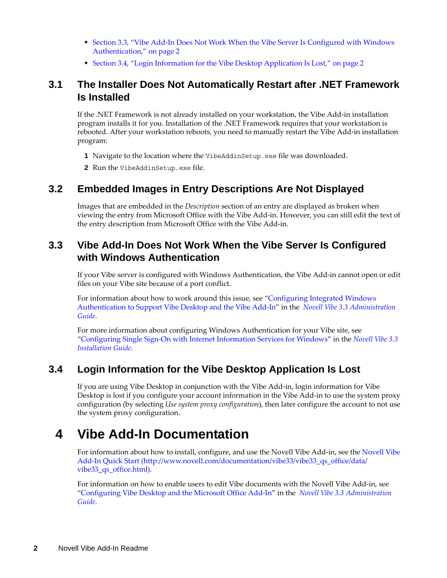- [Section 3.3, "Vibe Add-In Does Not Work When the Vibe Server Is Configured with Windows](#page-1-2)  [Authentication," on page 2](#page-1-2)
- [Section 3.4, "Login Information for the Vibe Desktop Application Is Lost," on page 2](#page-1-3)

### <span id="page-1-0"></span>**3.1 The Installer Does Not Automatically Restart after .NET Framework Is Installed**

If the .NET Framework is not already installed on your workstation, the Vibe Add-in installation program installs it for you. Installation of the .NET Framework requires that your workstation is rebooted. After your workstation reboots, you need to manually restart the Vibe Add-in installation program:

- **1** Navigate to the location where the VibeAddinSetup.exe file was downloaded.
- **2** Run the VibeAddinSetup.exe file.

### <span id="page-1-1"></span>**3.2 Embedded Images in Entry Descriptions Are Not Displayed**

Images that are embedded in the *Description* section of an entry are displayed as broken when viewing the entry from Microsoft Office with the Vibe Add-in. However, you can still edit the text of the entry description from Microsoft Office with the Vibe Add-in.

### <span id="page-1-2"></span>**3.3 Vibe Add-In Does Not Work When the Vibe Server Is Configured with Windows Authentication**

If your Vibe server is configured with Windows Authentication, the Vibe Add-in cannot open or edit files on your Vibe site because of a port conflict.

For information about how to work around this issue, see "Configuring Integrated Windows Authentication to Support Vibe Desktop and the Vibe Add-In" in the *Novell Vibe 3.3 Administration Guide*.

For more information about configuring Windows Authentication for your Vibe site, see "Configuring Single Sign-On with Internet Information Services for Windows" in the *Novell Vibe 3.3 Installation Guide*.

### <span id="page-1-3"></span>**3.4 Login Information for the Vibe Desktop Application Is Lost**

If you are using Vibe Desktop in conjunction with the Vibe Add-in, login information for Vibe Desktop is lost if you configure your account information in the Vibe Add-in to use the system proxy configuration (by selecting *Use system proxy configuration*), then later configure the account to not use the system proxy configuration.

# **4 Vibe Add-In Documentation**

For information about how to install, configure, and use the Novell Vibe Add-in, see the [Novell Vibe](http://www.novell.com/documentation/vibe33/vibe33_qs_office/data/vibe33_qs_office.html)  [Add-In Quick Start](http://www.novell.com/documentation/vibe33/vibe33_qs_office/data/vibe33_qs_office.html) (http://www.novell.com/documentation/vibe33/vibe33\_qs\_office/data/ vibe33\_qs\_office.html).

For information on how to enable users to edit Vibe documents with the Novell Vibe Add-in, see "Configuring Vibe Desktop and the Microsoft Office Add-In" in the *Novell Vibe 3.3 Administration Guide*.